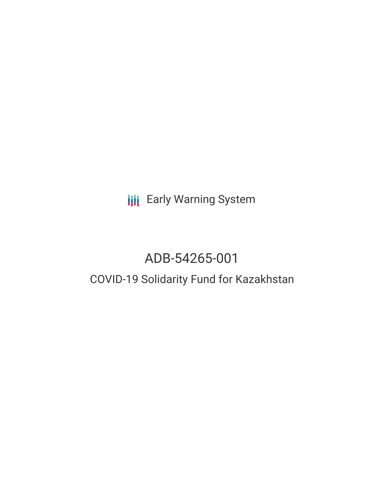**III** Early Warning System

# ADB-54265-001

# COVID-19 Solidarity Fund for Kazakhstan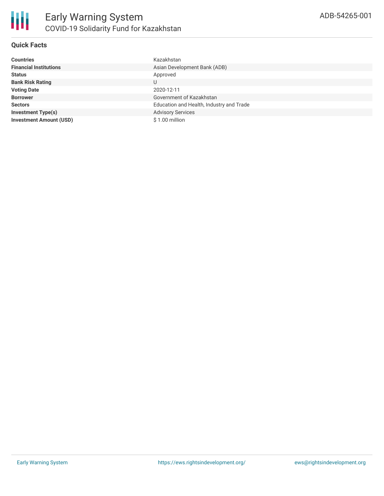# **Quick Facts**

| <b>Countries</b>               | Kazakhstan                               |
|--------------------------------|------------------------------------------|
| <b>Financial Institutions</b>  | Asian Development Bank (ADB)             |
| <b>Status</b>                  | Approved                                 |
| <b>Bank Risk Rating</b>        | U                                        |
| <b>Voting Date</b>             | 2020-12-11                               |
| <b>Borrower</b>                | Government of Kazakhstan                 |
| <b>Sectors</b>                 | Education and Health, Industry and Trade |
| <b>Investment Type(s)</b>      | <b>Advisory Services</b>                 |
| <b>Investment Amount (USD)</b> | $$1.00$ million                          |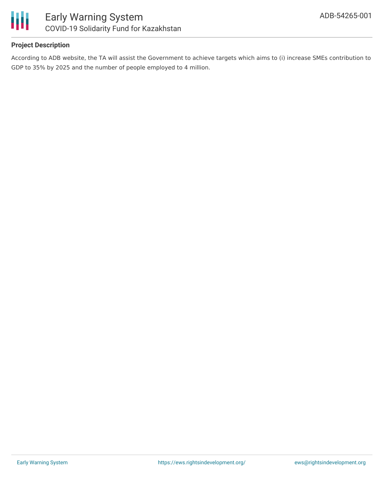

# **Project Description**

According to ADB website, the TA will assist the Government to achieve targets which aims to (i) increase SMEs contribution to GDP to 35% by 2025 and the number of people employed to 4 million.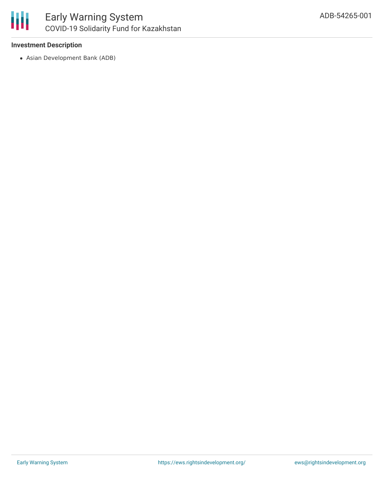

# **Investment Description**

Asian Development Bank (ADB)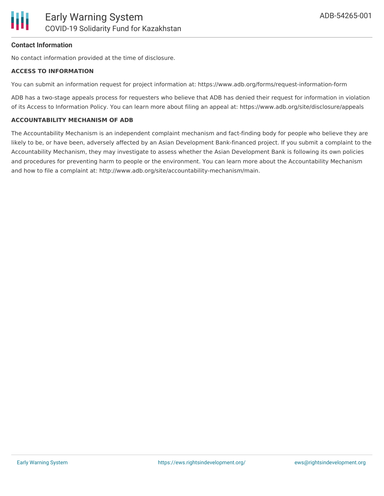### **Contact Information**

No contact information provided at the time of disclosure.

#### **ACCESS TO INFORMATION**

You can submit an information request for project information at: https://www.adb.org/forms/request-information-form

ADB has a two-stage appeals process for requesters who believe that ADB has denied their request for information in violation of its Access to Information Policy. You can learn more about filing an appeal at: https://www.adb.org/site/disclosure/appeals

#### **ACCOUNTABILITY MECHANISM OF ADB**

The Accountability Mechanism is an independent complaint mechanism and fact-finding body for people who believe they are likely to be, or have been, adversely affected by an Asian Development Bank-financed project. If you submit a complaint to the Accountability Mechanism, they may investigate to assess whether the Asian Development Bank is following its own policies and procedures for preventing harm to people or the environment. You can learn more about the Accountability Mechanism and how to file a complaint at: http://www.adb.org/site/accountability-mechanism/main.